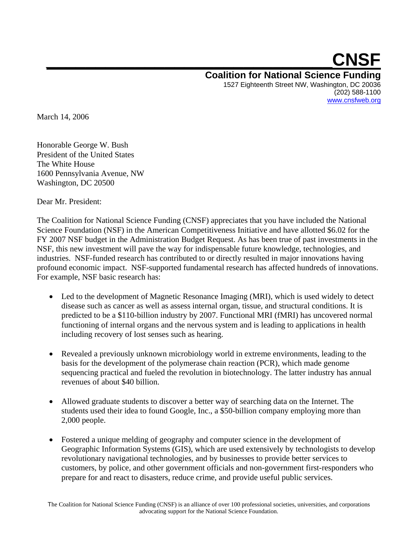## **\_\_\_\_\_\_\_\_\_\_\_\_\_\_\_\_\_\_\_\_\_\_\_\_\_\_\_\_\_CNSF Coalition for National Science Funding**  1527 Eighteenth Street NW, Washington, DC 20036 (202) 588-1100 www.cnsfweb.org

March 14, 2006

Honorable George W. Bush President of the United States The White House 1600 Pennsylvania Avenue, NW Washington, DC 20500

Dear Mr. President:

The Coalition for National Science Funding (CNSF) appreciates that you have included the National Science Foundation (NSF) in the American Competitiveness Initiative and have allotted \$6.02 for the FY 2007 NSF budget in the Administration Budget Request. As has been true of past investments in the NSF, this new investment will pave the way for indispensable future knowledge, technologies, and industries. NSF-funded research has contributed to or directly resulted in major innovations having profound economic impact. NSF-supported fundamental research has affected hundreds of innovations. For example, NSF basic research has:

- Led to the development of Magnetic Resonance Imaging (MRI), which is used widely to detect disease such as cancer as well as assess internal organ, tissue, and structural conditions. It is predicted to be a \$110-billion industry by 2007. Functional MRI (fMRI) has uncovered normal functioning of internal organs and the nervous system and is leading to applications in health including recovery of lost senses such as hearing.
- Revealed a previously unknown microbiology world in extreme environments, leading to the basis for the development of the polymerase chain reaction (PCR), which made genome sequencing practical and fueled the revolution in biotechnology. The latter industry has annual revenues of about \$40 billion.
- Allowed graduate students to discover a better way of searching data on the Internet. The students used their idea to found Google, Inc., a \$50-billion company employing more than 2,000 people.
- Fostered a unique melding of geography and computer science in the development of Geographic Information Systems (GIS), which are used extensively by technologists to develop revolutionary navigational technologies, and by businesses to provide better services to customers, by police, and other government officials and non-government first-responders who prepare for and react to disasters, reduce crime, and provide useful public services.